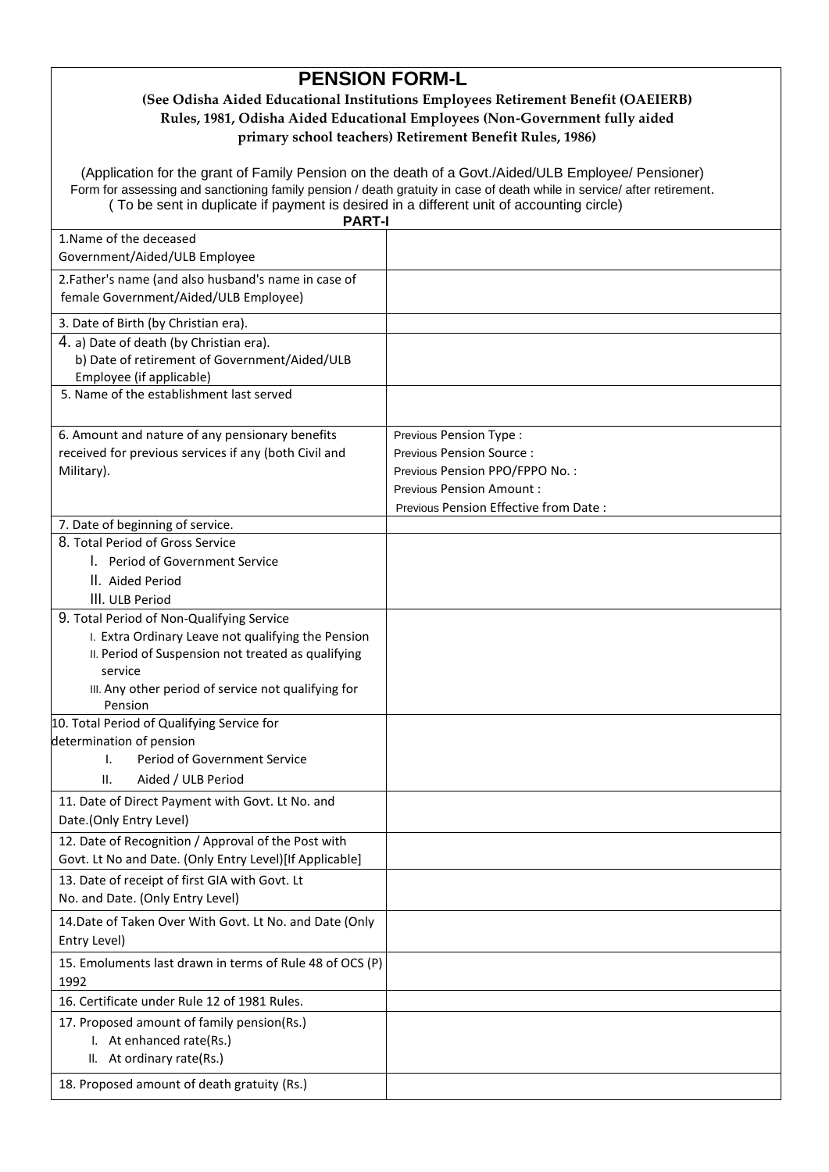# **PENSION FORM-L**

## **(See Odisha Aided Educational Institutions Employees Retirement Benefit (OAEIERB) Rules, 1981, Odisha Aided Educational Employees (Non-Government fully aided primary school teachers) Retirement Benefit Rules, 1986)**

(Application for the grant of Family Pension on the death of a Govt./Aided/ULB Employee/ Pensioner) Form for assessing and sanctioning family pension / death gratuity in case of death while in service/ after retirement. ( To be sent in duplicate if payment is desired in a different unit of accounting circle)

| <b>PART-I</b>                                            |                                       |  |
|----------------------------------------------------------|---------------------------------------|--|
| 1. Name of the deceased                                  |                                       |  |
| Government/Aided/ULB Employee                            |                                       |  |
| 2.Father's name (and also husband's name in case of      |                                       |  |
| female Government/Aided/ULB Employee)                    |                                       |  |
| 3. Date of Birth (by Christian era).                     |                                       |  |
| 4. a) Date of death (by Christian era).                  |                                       |  |
| b) Date of retirement of Government/Aided/ULB            |                                       |  |
| Employee (if applicable)                                 |                                       |  |
| 5. Name of the establishment last served                 |                                       |  |
|                                                          |                                       |  |
| 6. Amount and nature of any pensionary benefits          | Previous Pension Type:                |  |
| received for previous services if any (both Civil and    | <b>Previous Pension Source:</b>       |  |
| Military).                                               | Previous Pension PPO/FPPO No.:        |  |
|                                                          | <b>Previous Pension Amount:</b>       |  |
|                                                          | Previous Pension Effective from Date: |  |
| 7. Date of beginning of service.                         |                                       |  |
| 8. Total Period of Gross Service                         |                                       |  |
| . Period of Government Service                           |                                       |  |
| II. Aided Period                                         |                                       |  |
| III. ULB Period                                          |                                       |  |
| 9. Total Period of Non-Qualifying Service                |                                       |  |
| I. Extra Ordinary Leave not qualifying the Pension       |                                       |  |
| II. Period of Suspension not treated as qualifying       |                                       |  |
| service                                                  |                                       |  |
| III. Any other period of service not qualifying for      |                                       |  |
| Pension                                                  |                                       |  |
| 10. Total Period of Qualifying Service for               |                                       |  |
| determination of pension                                 |                                       |  |
| Period of Government Service<br>I.                       |                                       |  |
| Aided / ULB Period<br>н.                                 |                                       |  |
| 11. Date of Direct Payment with Govt. Lt No. and         |                                       |  |
| Date.(Only Entry Level)                                  |                                       |  |
| 12. Date of Recognition / Approval of the Post with      |                                       |  |
| Govt. Lt No and Date. (Only Entry Level)[If Applicable]  |                                       |  |
| 13. Date of receipt of first GIA with Govt. Lt           |                                       |  |
| No. and Date. (Only Entry Level)                         |                                       |  |
| 14. Date of Taken Over With Govt. Lt No. and Date (Only  |                                       |  |
| Entry Level)                                             |                                       |  |
| 15. Emoluments last drawn in terms of Rule 48 of OCS (P) |                                       |  |
| 1992                                                     |                                       |  |
| 16. Certificate under Rule 12 of 1981 Rules.             |                                       |  |
| 17. Proposed amount of family pension(Rs.)               |                                       |  |
| I. At enhanced rate(Rs.)                                 |                                       |  |
| II. At ordinary rate(Rs.)                                |                                       |  |
| 18. Proposed amount of death gratuity (Rs.)              |                                       |  |
|                                                          |                                       |  |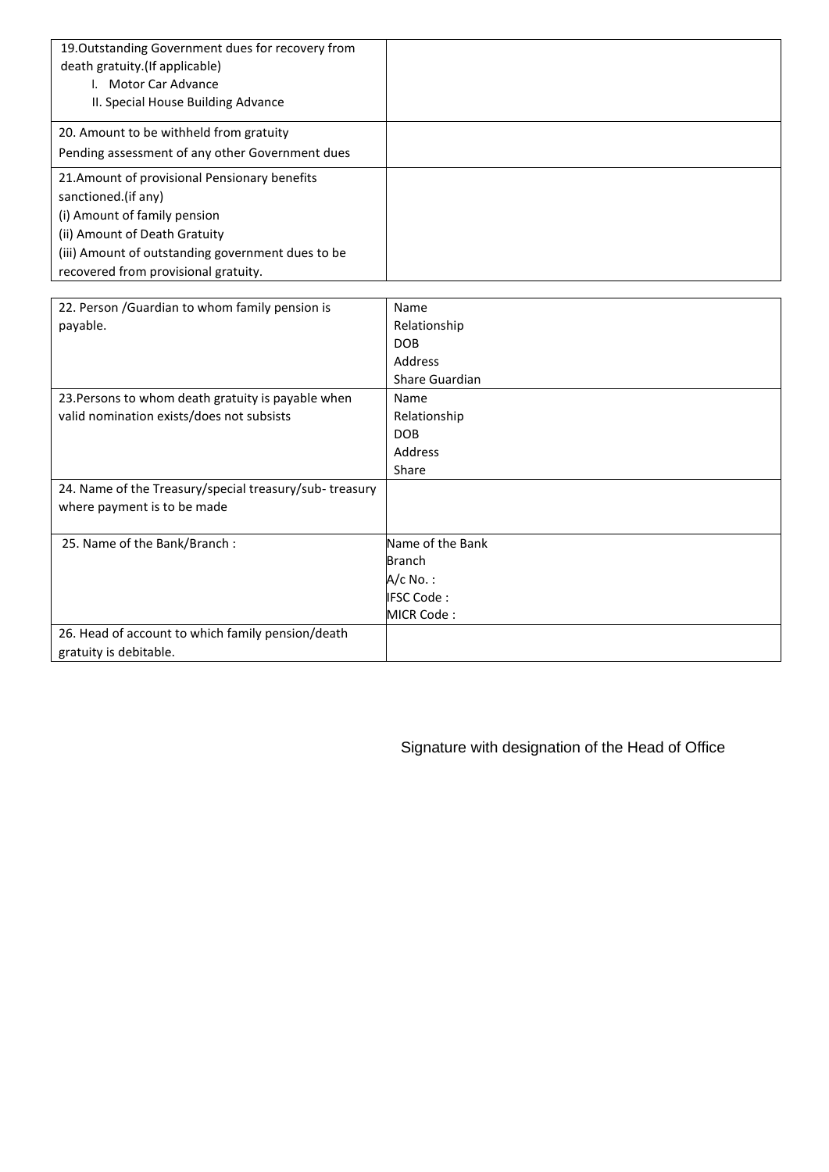| 19. Outstanding Government dues for recovery from<br>death gratuity.(If applicable)<br>I. Motor Car Advance<br>II. Special House Building Advance |  |
|---------------------------------------------------------------------------------------------------------------------------------------------------|--|
| 20. Amount to be withheld from gratuity                                                                                                           |  |
| Pending assessment of any other Government dues                                                                                                   |  |
| 21. Amount of provisional Pensionary benefits                                                                                                     |  |
| sanctioned.(if any)                                                                                                                               |  |
| (i) Amount of family pension                                                                                                                      |  |
| (ii) Amount of Death Gratuity                                                                                                                     |  |
| (iii) Amount of outstanding government dues to be                                                                                                 |  |
| recovered from provisional gratuity.                                                                                                              |  |

| 22. Person / Guardian to whom family pension is        | Name             |
|--------------------------------------------------------|------------------|
| payable.                                               | Relationship     |
|                                                        | <b>DOB</b>       |
|                                                        | <b>Address</b>   |
|                                                        | Share Guardian   |
| 23. Persons to whom death gratuity is payable when     | Name             |
| valid nomination exists/does not subsists              | Relationship     |
|                                                        | <b>DOB</b>       |
|                                                        | Address          |
|                                                        | Share            |
| 24. Name of the Treasury/special treasury/sub-treasury |                  |
| where payment is to be made                            |                  |
|                                                        |                  |
| 25. Name of the Bank/Branch:                           | Name of the Bank |
|                                                        | <b>Branch</b>    |
|                                                        | A/c No. :        |
|                                                        | IFSC Code:       |
|                                                        | MICR Code:       |
| 26. Head of account to which family pension/death      |                  |
| gratuity is debitable.                                 |                  |

Signature with designation of the Head of Office